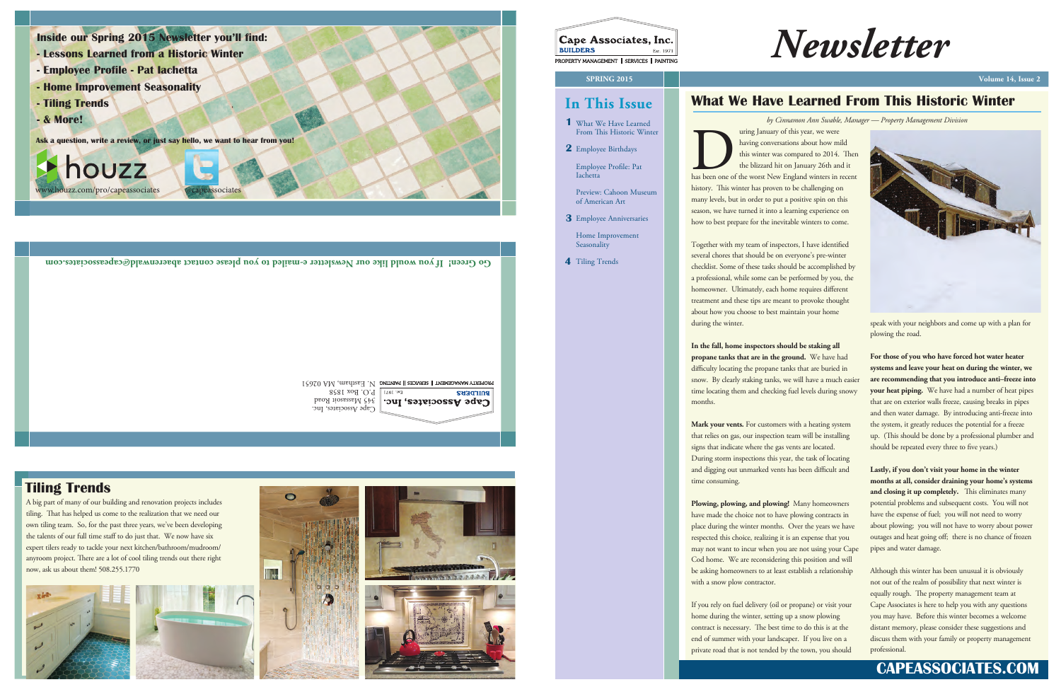*Newsletter*

# **In This Issue**

Employee Profile: Pat Iachetta

Preview: Cahoon Museum of American Art

Home Improvement

Seasonality

4 Tiling Trends

- What We Have Learned **1** From This Historic Winter
- Employee Birthdays **2**

Tiling Trends **Go Green! If you would like our Newsletter e-mailed to you please contact abaerenwald@capeassociates.com**

PROPERTY MANAGEMENT || SERVICES || PAINTING N OF MA 192651

Employee Anniversaries **3**

Cape Associates, Inc. 345 Massasoit Road P.O. Box 1858

## **BUILDERS** Cape Associates, Inc.

## **CAPEASSOCIATES.COM**

aring January of this year, we were<br>having conversations about how mild<br>this winter was compared to 2014. Then<br>the blizzard hit on January 26th and it<br>has been one of the worst New England winters in recent history. This winter has proven to be challenging on many levels, but in order to put a positive spin on this season, we have turned it into a learning experience on how to best prepare for the inevitable winters to come.

## **What We Have Learned From This Historic Winter**

uring January of this year, we were having conversations about how mild this winter was compared to 2014. Then the blizzard hit on January 26th and it

Together with my team of inspectors, I have identified several chores that should be on everyone's pre-winter checklist. Some of these tasks should be accomplished by a professional, while some can be performed by you, the homeowner. Ultimately, each home requires different treatment and these tips are meant to provoke thought about how you choose to best maintain your home during the winter.

> **For those of you who have forced hot water heater systems and leave your heat on during the winter, we are recommending that you introduce anti–freeze into your heat piping.** We have had a number of heat pipes that are on exterior walls freeze, causing breaks in pipes and then water damage. By introducing anti-freeze into the system, it greatly reduces the potential for a freeze up. (This should be done by a professional plumber and should be repeated every three to five years.)

**In the fall, home inspectors should be staking all propane tanks that are in the ground.** We have had difficulty locating the propane tanks that are buried in snow. By clearly staking tanks, we will have a much easier time locating them and checking fuel levels during snowy months.

**Mark your vents.** For customers with a heating system that relies on gas, our inspection team will be installing signs that indicate where the gas vents are located. During storm inspections this year, the task of locating and digging out unmarked vents has been difficult and time consuming.

**Plowing, plowing, and plowing!** Many homeowners have made the choice not to have plowing contracts in place during the winter months. Over the years we have respected this choice, realizing it is an expense that you may not want to incur when you are not using your Cape Cod home. We are reconsidering this position and will be asking homeowners to at least establish a relationship with a snow plow contractor.

If you rely on fuel delivery (oil or propane) or visit your home during the winter, setting up a snow plowing contract is necessary. The best time to do this is at the end of summer with your landscaper. If you live on a private road that is not tended by the town, you should



speak with your neighbors and come up with a plan for plowing the road.

**Lastly, if you don't visit your home in the winter months at all, consider draining your home's systems**  and closing it up completely. This eliminates many potential problems and subsequent costs. You will not have the expense of fuel; you will not need to worry about plowing; you will not have to worry about power outages and heat going off; there is no chance of frozen pipes and water damage.

Although this winter has been unusual it is obviously not out of the realm of possibility that next winter is equally rough. The property management team at Cape Associates is here to help you with any questions you may have. Before this winter becomes a welcome distant memory, please consider these suggestions and discuss them with your family or property management professional.



- **Lessons Learned from a Historic Winter**
- **Employee Profile Pat Iachetta**
- **Home Improvement Seasonality**
- **Tiling Trends**
- **& More!**

**Ask a question, write a review, or just say hello, we want to hear from you!**

houzz ouzz.com/pro/capeassociates @capeassociates *by Cinnamon Ann Swable, Manager — Property Management Division*

## **Tiling Trends**

A big part of many of our building and renovation projects includes tiling. That has helped us come to the realization that we need our own tiling team. So, for the past three years, we've been developing the talents of our full time staff to do just that. We now have six expert tilers ready to tackle your next kitchen/bathroom/mudroom/ anyroom project. There are a lot of cool tiling trends out there right now, ask us about them! 508.255.1770







| $\left\Vert \begin{matrix} \textbf{Cape Associates, Inc.} \ \textbf{BULDERS} \end{matrix} \right\Vert$ |  |
|--------------------------------------------------------------------------------------------------------|--|
|                                                                                                        |  |
| PROPERTY MANAGEMENT    SERVICES    PAINTING                                                            |  |